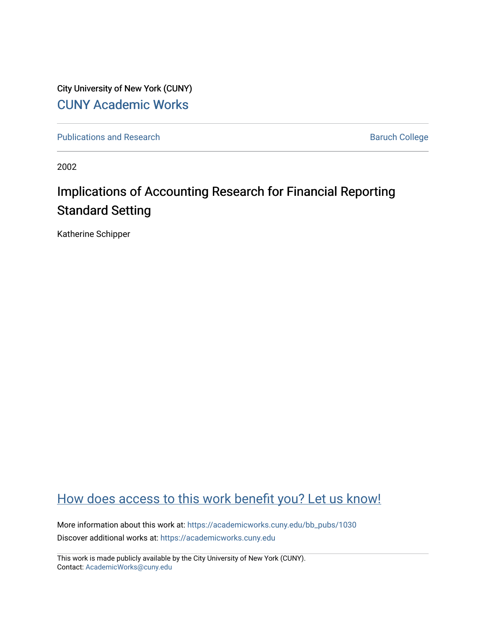City University of New York (CUNY) [CUNY Academic Works](https://academicworks.cuny.edu/) 

[Publications and Research](https://academicworks.cuny.edu/bb_pubs) **Baruch College** Baruch College

2002

# Implications of Accounting Research for Financial Reporting Standard Setting

Katherine Schipper

# [How does access to this work benefit you? Let us know!](http://ols.cuny.edu/academicworks/?ref=https://academicworks.cuny.edu/bb_pubs/1030)

More information about this work at: [https://academicworks.cuny.edu/bb\\_pubs/1030](https://academicworks.cuny.edu/bb_pubs/1030) Discover additional works at: [https://academicworks.cuny.edu](https://academicworks.cuny.edu/?)

This work is made publicly available by the City University of New York (CUNY). Contact: [AcademicWorks@cuny.edu](mailto:AcademicWorks@cuny.edu)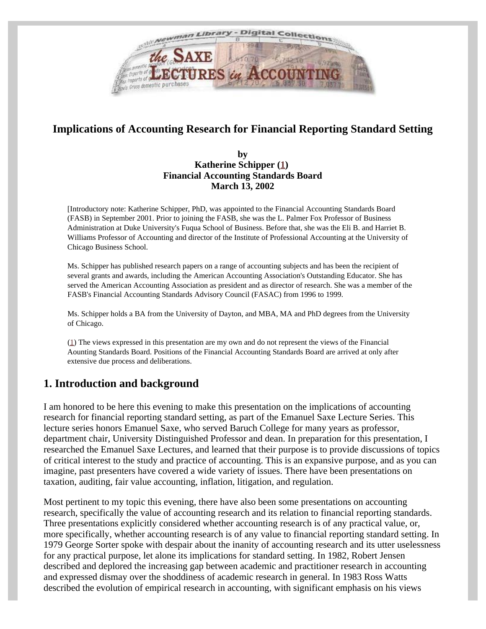<span id="page-1-0"></span>

# <span id="page-1-1"></span>**Implications of Accounting Research for Financial Reporting Standard Setting**

#### **by Katherine Schipper [\(1](#page-1-0)) Financial Accounting Standards Board March 13, 2002**

[Introductory note: Katherine Schipper, PhD, was appointed to the Financial Accounting Standards Board (FASB) in September 2001. Prior to joining the FASB, she was the L. Palmer Fox Professor of Business Administration at Duke University's Fuqua School of Business. Before that, she was the Eli B. and Harriet B. Williams Professor of Accounting and director of the Institute of Professional Accounting at the University of Chicago Business School.

Ms. Schipper has published research papers on a range of accounting subjects and has been the recipient of several grants and awards, including the American Accounting Association's Outstanding Educator. She has served the American Accounting Association as president and as director of research. She was a member of the FASB's Financial Accounting Standards Advisory Council (FASAC) from 1996 to 1999.

Ms. Schipper holds a BA from the University of Dayton, and MBA, MA and PhD degrees from the University of Chicago.

[\(1](#page-1-1)) The views expressed in this presentation are my own and do not represent the views of the Financial Aounting Standards Board. Positions of the Financial Accounting Standards Board are arrived at only after extensive due process and deliberations.

## **1. Introduction and background**

I am honored to be here this evening to make this presentation on the implications of accounting research for financial reporting standard setting, as part of the Emanuel Saxe Lecture Series. This lecture series honors Emanuel Saxe, who served Baruch College for many years as professor, department chair, University Distinguished Professor and dean. In preparation for this presentation, I researched the Emanuel Saxe Lectures, and learned that their purpose is to provide discussions of topics of critical interest to the study and practice of accounting. This is an expansive purpose, and as you can imagine, past presenters have covered a wide variety of issues. There have been presentations on taxation, auditing, fair value accounting, inflation, litigation, and regulation.

Most pertinent to my topic this evening, there have also been some presentations on accounting research, specifically the value of accounting research and its relation to financial reporting standards. Three presentations explicitly considered whether accounting research is of any practical value, or, more specifically, whether accounting research is of any value to financial reporting standard setting. In 1979 George Sorter spoke with despair about the inanity of accounting research and its utter uselessness for any practical purpose, let alone its implications for standard setting. In 1982, Robert Jensen described and deplored the increasing gap between academic and practitioner research in accounting and expressed dismay over the shoddiness of academic research in general. In 1983 Ross Watts described the evolution of empirical research in accounting, with significant emphasis on his views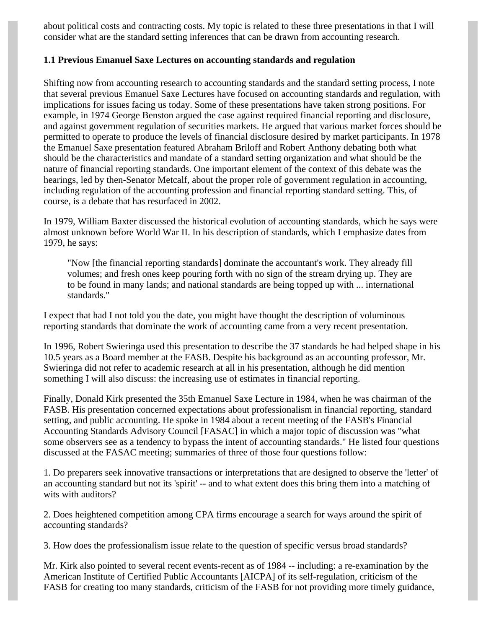about political costs and contracting costs. My topic is related to these three presentations in that I will consider what are the standard setting inferences that can be drawn from accounting research.

## **1.1 Previous Emanuel Saxe Lectures on accounting standards and regulation**

Shifting now from accounting research to accounting standards and the standard setting process, I note that several previous Emanuel Saxe Lectures have focused on accounting standards and regulation, with implications for issues facing us today. Some of these presentations have taken strong positions. For example, in 1974 George Benston argued the case against required financial reporting and disclosure, and against government regulation of securities markets. He argued that various market forces should be permitted to operate to produce the levels of financial disclosure desired by market participants. In 1978 the Emanuel Saxe presentation featured Abraham Briloff and Robert Anthony debating both what should be the characteristics and mandate of a standard setting organization and what should be the nature of financial reporting standards. One important element of the context of this debate was the hearings, led by then-Senator Metcalf, about the proper role of government regulation in accounting, including regulation of the accounting profession and financial reporting standard setting. This, of course, is a debate that has resurfaced in 2002.

In 1979, William Baxter discussed the historical evolution of accounting standards, which he says were almost unknown before World War II. In his description of standards, which I emphasize dates from 1979, he says:

"Now [the financial reporting standards] dominate the accountant's work. They already fill volumes; and fresh ones keep pouring forth with no sign of the stream drying up. They are to be found in many lands; and national standards are being topped up with ... international standards."

I expect that had I not told you the date, you might have thought the description of voluminous reporting standards that dominate the work of accounting came from a very recent presentation.

In 1996, Robert Swieringa used this presentation to describe the 37 standards he had helped shape in his 10.5 years as a Board member at the FASB. Despite his background as an accounting professor, Mr. Swieringa did not refer to academic research at all in his presentation, although he did mention something I will also discuss: the increasing use of estimates in financial reporting.

Finally, Donald Kirk presented the 35th Emanuel Saxe Lecture in 1984, when he was chairman of the FASB. His presentation concerned expectations about professionalism in financial reporting, standard setting, and public accounting. He spoke in 1984 about a recent meeting of the FASB's Financial Accounting Standards Advisory Council [FASAC] in which a major topic of discussion was "what some observers see as a tendency to bypass the intent of accounting standards." He listed four questions discussed at the FASAC meeting; summaries of three of those four questions follow:

1. Do preparers seek innovative transactions or interpretations that are designed to observe the 'letter' of an accounting standard but not its 'spirit' -- and to what extent does this bring them into a matching of wits with auditors?

2. Does heightened competition among CPA firms encourage a search for ways around the spirit of accounting standards?

3. How does the professionalism issue relate to the question of specific versus broad standards?

Mr. Kirk also pointed to several recent events-recent as of 1984 -- including: a re-examination by the American Institute of Certified Public Accountants [AICPA] of its self-regulation, criticism of the FASB for creating too many standards, criticism of the FASB for not providing more timely guidance,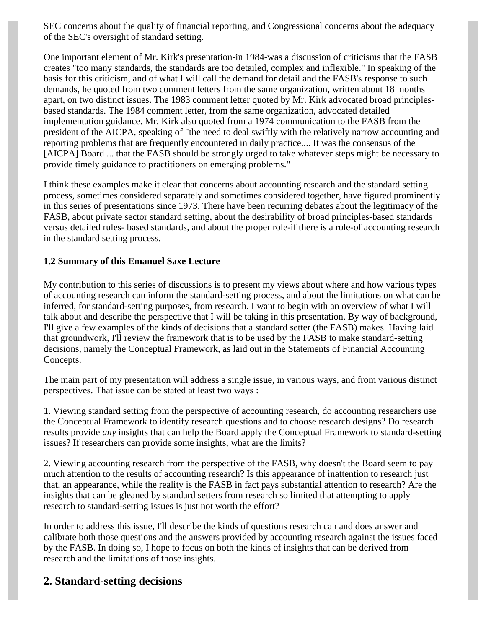SEC concerns about the quality of financial reporting, and Congressional concerns about the adequacy of the SEC's oversight of standard setting.

One important element of Mr. Kirk's presentation-in 1984-was a discussion of criticisms that the FASB creates "too many standards, the standards are too detailed, complex and inflexible." In speaking of the basis for this criticism, and of what I will call the demand for detail and the FASB's response to such demands, he quoted from two comment letters from the same organization, written about 18 months apart, on two distinct issues. The 1983 comment letter quoted by Mr. Kirk advocated broad principlesbased standards. The 1984 comment letter, from the same organization, advocated detailed implementation guidance. Mr. Kirk also quoted from a 1974 communication to the FASB from the president of the AICPA, speaking of "the need to deal swiftly with the relatively narrow accounting and reporting problems that are frequently encountered in daily practice.... It was the consensus of the [AICPA] Board ... that the FASB should be strongly urged to take whatever steps might be necessary to provide timely guidance to practitioners on emerging problems."

I think these examples make it clear that concerns about accounting research and the standard setting process, sometimes considered separately and sometimes considered together, have figured prominently in this series of presentations since 1973. There have been recurring debates about the legitimacy of the FASB, about private sector standard setting, about the desirability of broad principles-based standards versus detailed rules- based standards, and about the proper role-if there is a role-of accounting research in the standard setting process.

## **1.2 Summary of this Emanuel Saxe Lecture**

My contribution to this series of discussions is to present my views about where and how various types of accounting research can inform the standard-setting process, and about the limitations on what can be inferred, for standard-setting purposes, from research. I want to begin with an overview of what I will talk about and describe the perspective that I will be taking in this presentation. By way of background, I'll give a few examples of the kinds of decisions that a standard setter (the FASB) makes. Having laid that groundwork, I'll review the framework that is to be used by the FASB to make standard-setting decisions, namely the Conceptual Framework, as laid out in the Statements of Financial Accounting Concepts.

The main part of my presentation will address a single issue, in various ways, and from various distinct perspectives. That issue can be stated at least two ways :

1. Viewing standard setting from the perspective of accounting research, do accounting researchers use the Conceptual Framework to identify research questions and to choose research designs? Do research results provide *any* insights that can help the Board apply the Conceptual Framework to standard-setting issues? If researchers can provide some insights, what are the limits?

2. Viewing accounting research from the perspective of the FASB, why doesn't the Board seem to pay much attention to the results of accounting research? Is this appearance of inattention to research just that, an appearance, while the reality is the FASB in fact pays substantial attention to research? Are the insights that can be gleaned by standard setters from research so limited that attempting to apply research to standard-setting issues is just not worth the effort?

In order to address this issue, I'll describe the kinds of questions research can and does answer and calibrate both those questions and the answers provided by accounting research against the issues faced by the FASB. In doing so, I hope to focus on both the kinds of insights that can be derived from research and the limitations of those insights.

## **2. Standard-setting decisions**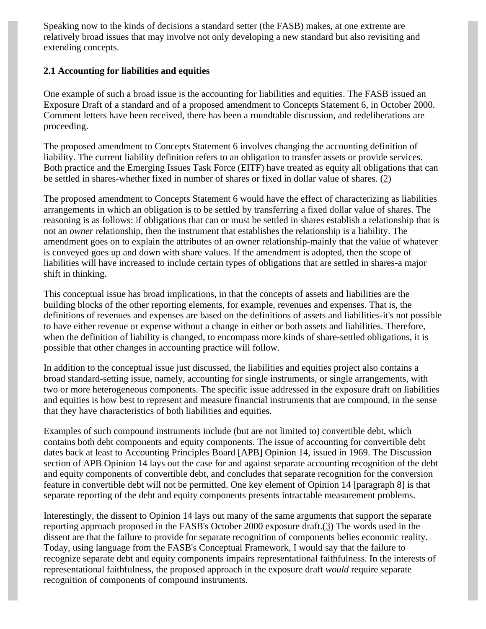Speaking now to the kinds of decisions a standard setter (the FASB) makes, at one extreme are relatively broad issues that may involve not only developing a new standard but also revisiting and extending concepts.

## **2.1 Accounting for liabilities and equities**

One example of such a broad issue is the accounting for liabilities and equities. The FASB issued an Exposure Draft of a standard and of a proposed amendment to Concepts Statement 6, in October 2000. Comment letters have been received, there has been a roundtable discussion, and redeliberations are proceeding.

The proposed amendment to Concepts Statement 6 involves changing the accounting definition of liability. The current liability definition refers to an obligation to transfer assets or provide services. Both practice and the Emerging Issues Task Force (EITF) have treated as equity all obligations that can be settled in shares-whether fixed in number of shares or fixed in dollar value of shares. [\(2](#page-14-0))

<span id="page-4-0"></span>The proposed amendment to Concepts Statement 6 would have the effect of characterizing as liabilities arrangements in which an obligation is to be settled by transferring a fixed dollar value of shares. The reasoning is as follows: if obligations that can or must be settled in shares establish a relationship that is not an *owner* relationship, then the instrument that establishes the relationship is a liability. The amendment goes on to explain the attributes of an owner relationship-mainly that the value of whatever is conveyed goes up and down with share values. If the amendment is adopted, then the scope of liabilities will have increased to include certain types of obligations that are settled in shares-a major shift in thinking.

This conceptual issue has broad implications, in that the concepts of assets and liabilities are the building blocks of the other reporting elements, for example, revenues and expenses. That is, the definitions of revenues and expenses are based on the definitions of assets and liabilities-it's not possible to have either revenue or expense without a change in either or both assets and liabilities. Therefore, when the definition of liability is changed, to encompass more kinds of share-settled obligations, it is possible that other changes in accounting practice will follow.

In addition to the conceptual issue just discussed, the liabilities and equities project also contains a broad standard-setting issue, namely, accounting for single instruments, or single arrangements, with two or more heterogeneous components. The specific issue addressed in the exposure draft on liabilities and equities is how best to represent and measure financial instruments that are compound, in the sense that they have characteristics of both liabilities and equities.

Examples of such compound instruments include (but are not limited to) convertible debt, which contains both debt components and equity components. The issue of accounting for convertible debt dates back at least to Accounting Principles Board [APB] Opinion 14, issued in 1969. The Discussion section of APB Opinion 14 lays out the case for and against separate accounting recognition of the debt and equity components of convertible debt, and concludes that separate recognition for the conversion feature in convertible debt will not be permitted. One key element of Opinion 14 [paragraph 8] is that separate reporting of the debt and equity components presents intractable measurement problems.

<span id="page-4-1"></span>Interestingly, the dissent to Opinion 14 lays out many of the same arguments that support the separate reporting approach proposed in the FASB's October 2000 exposure draft.[\(3](#page-14-1)) The words used in the dissent are that the failure to provide for separate recognition of components belies economic reality. Today, using language from the FASB's Conceptual Framework, I would say that the failure to recognize separate debt and equity components impairs representational faithfulness. In the interests of representational faithfulness, the proposed approach in the exposure draft *would* require separate recognition of components of compound instruments.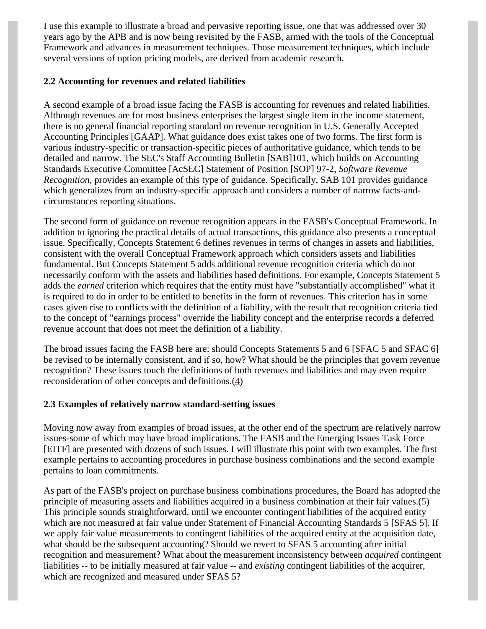I use this example to illustrate a broad and pervasive reporting issue, one that was addressed over 30 years ago by the APB and is now being revisited by the FASB, armed with the tools of the Conceptual Framework and advances in measurement techniques. Those measurement techniques, which include several versions of option pricing models, are derived from academic research.

## **2.2 Accounting for revenues and related liabilities**

A second example of a broad issue facing the FASB is accounting for revenues and related liabilities. Although revenues are for most business enterprises the largest single item in the income statement, there is no general financial reporting standard on revenue recognition in U.S. Generally Accepted Accounting Principles [GAAP]. What guidance does exist takes one of two forms. The first form is various industry-specific or transaction-specific pieces of authoritative guidance, which tends to be detailed and narrow. The SEC's Staff Accounting Bulletin [SAB]101, which builds on Accounting Standards Executive Committee [AcSEC] Statement of Position [SOP] 97-2, *Software Revenue Recognition*, provides an example of this type of guidance. Specifically, SAB 101 provides guidance which generalizes from an industry-specific approach and considers a number of narrow facts-andcircumstances reporting situations.

The second form of guidance on revenue recognition appears in the FASB's Conceptual Framework. In addition to ignoring the practical details of actual transactions, this guidance also presents a conceptual issue. Specifically, Concepts Statement 6 defines revenues in terms of changes in assets and liabilities, consistent with the overall Conceptual Framework approach which considers assets and liabilities fundamental. But Concepts Statement 5 adds additional revenue recognition criteria which do not necessarily conform with the assets and liabilities based definitions. For example, Concepts Statement 5 adds the *earned* criterion which requires that the entity must have "substantially accomplished" what it is required to do in order to be entitled to benefits in the form of revenues. This criterion has in some cases given rise to conflicts with the definition of a liability, with the result that recognition criteria tied to the concept of "earnings process" override the liability concept and the enterprise records a deferred revenue account that does not meet the definition of a liability.

The broad issues facing the FASB here are: should Concepts Statements 5 and 6 [SFAC 5 and SFAC 6] be revised to be internally consistent, and if so, how? What should be the principles that govern revenue recognition? These issues touch the definitions of both revenues and liabilities and may even require reconsideration of other concepts and definitions.[\(4](#page-14-2))

### <span id="page-5-0"></span>**2.3 Examples of relatively narrow standard-setting issues**

Moving now away from examples of broad issues, at the other end of the spectrum are relatively narrow issues-some of which may have broad implications. The FASB and the Emerging Issues Task Force [EITF] are presented with dozens of such issues. I will illustrate this point with two examples. The first example pertains to accounting procedures in purchase business combinations and the second example pertains to loan commitments.

<span id="page-5-1"></span>As part of the FASB's project on purchase business combinations procedures, the Board has adopted the principle of measuring assets and liabilities acquired in a business combination at their fair values. $(5)$  $(5)$ This principle sounds straightforward, until we encounter contingent liabilities of the acquired entity which are not measured at fair value under Statement of Financial Accounting Standards 5 [SFAS 5]. If we apply fair value measurements to contingent liabilities of the acquired entity at the acquisition date, what should be the subsequent accounting? Should we revert to SFAS 5 accounting after initial recognition and measurement? What about the measurement inconsistency between *acquired* contingent liabilities -- to be initially measured at fair value -- and *existing* contingent liabilities of the acquirer, which are recognized and measured under SFAS 5?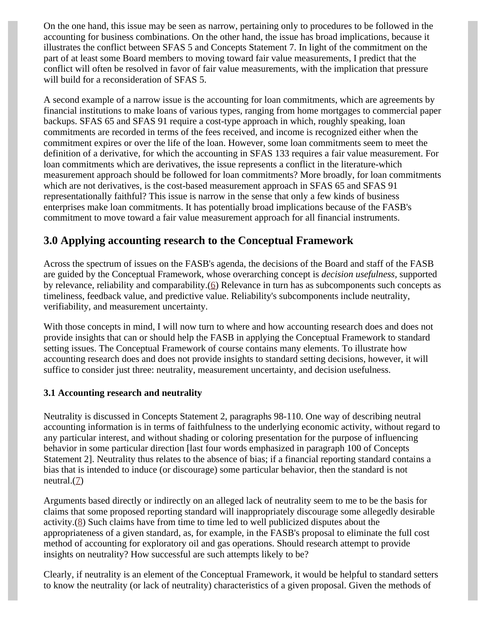On the one hand, this issue may be seen as narrow, pertaining only to procedures to be followed in the accounting for business combinations. On the other hand, the issue has broad implications, because it illustrates the conflict between SFAS 5 and Concepts Statement 7. In light of the commitment on the part of at least some Board members to moving toward fair value measurements, I predict that the conflict will often be resolved in favor of fair value measurements, with the implication that pressure will build for a reconsideration of SFAS 5.

A second example of a narrow issue is the accounting for loan commitments, which are agreements by financial institutions to make loans of various types, ranging from home mortgages to commercial paper backups. SFAS 65 and SFAS 91 require a cost-type approach in which, roughly speaking, loan commitments are recorded in terms of the fees received, and income is recognized either when the commitment expires or over the life of the loan. However, some loan commitments seem to meet the definition of a derivative, for which the accounting in SFAS 133 requires a fair value measurement. For loan commitments which are derivatives, the issue represents a conflict in the literature-which measurement approach should be followed for loan commitments? More broadly, for loan commitments which are not derivatives, is the cost-based measurement approach in SFAS 65 and SFAS 91 representationally faithful? This issue is narrow in the sense that only a few kinds of business enterprises make loan commitments. It has potentially broad implications because of the FASB's commitment to move toward a fair value measurement approach for all financial instruments.

## **3.0 Applying accounting research to the Conceptual Framework**

<span id="page-6-0"></span>Across the spectrum of issues on the FASB's agenda, the decisions of the Board and staff of the FASB are guided by the Conceptual Framework, whose overarching concept is *decision usefulness,* supported by relevance, reliability and comparability.[\(6](#page-14-4)) Relevance in turn has as subcomponents such concepts as timeliness, feedback value, and predictive value. Reliability's subcomponents include neutrality, verifiability, and measurement uncertainty.

With those concepts in mind, I will now turn to where and how accounting research does and does not provide insights that can or should help the FASB in applying the Conceptual Framework to standard setting issues. The Conceptual Framework of course contains many elements. To illustrate how accounting research does and does not provide insights to standard setting decisions, however, it will suffice to consider just three: neutrality, measurement uncertainty, and decision usefulness.

## **3.1 Accounting research and neutrality**

Neutrality is discussed in Concepts Statement 2, paragraphs 98-110. One way of describing neutral accounting information is in terms of faithfulness to the underlying economic activity, without regard to any particular interest, and without shading or coloring presentation for the purpose of influencing behavior in some particular direction [last four words emphasized in paragraph 100 of Concepts Statement 2]. Neutrality thus relates to the absence of bias; if a financial reporting standard contains a bias that is intended to induce (or discourage) some particular behavior, then the standard is not neutral. $(7)$  $(7)$ 

<span id="page-6-2"></span><span id="page-6-1"></span>Arguments based directly or indirectly on an alleged lack of neutrality seem to me to be the basis for claims that some proposed reporting standard will inappropriately discourage some allegedly desirable activity. $(8)$  $(8)$  Such claims have from time to time led to well publicized disputes about the appropriateness of a given standard, as, for example, in the FASB's proposal to eliminate the full cost method of accounting for exploratory oil and gas operations. Should research attempt to provide insights on neutrality? How successful are such attempts likely to be?

Clearly, if neutrality is an element of the Conceptual Framework, it would be helpful to standard setters to know the neutrality (or lack of neutrality) characteristics of a given proposal. Given the methods of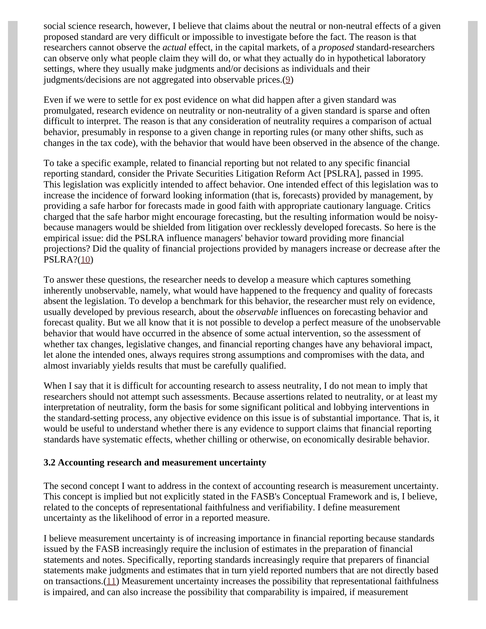social science research, however, I believe that claims about the neutral or non-neutral effects of a given proposed standard are very difficult or impossible to investigate before the fact. The reason is that researchers cannot observe the *actual* effect, in the capital markets, of a *proposed* standard-researchers can observe only what people claim they will do, or what they actually do in hypothetical laboratory settings, where they usually make judgments and/or decisions as individuals and their judgments/decisions are not aggregated into observable prices.([9\)](#page-14-7)

<span id="page-7-0"></span>Even if we were to settle for ex post evidence on what did happen after a given standard was promulgated, research evidence on neutrality or non-neutrality of a given standard is sparse and often difficult to interpret. The reason is that any consideration of neutrality requires a comparison of actual behavior, presumably in response to a given change in reporting rules (or many other shifts, such as changes in the tax code), with the behavior that would have been observed in the absence of the change.

To take a specific example, related to financial reporting but not related to any specific financial reporting standard, consider the Private Securities Litigation Reform Act [PSLRA], passed in 1995. This legislation was explicitly intended to affect behavior. One intended effect of this legislation was to increase the incidence of forward looking information (that is, forecasts) provided by management, by providing a safe harbor for forecasts made in good faith with appropriate cautionary language. Critics charged that the safe harbor might encourage forecasting, but the resulting information would be noisybecause managers would be shielded from litigation over recklessly developed forecasts. So here is the empirical issue: did the PSLRA influence managers' behavior toward providing more financial projections? Did the quality of financial projections provided by managers increase or decrease after the PSLRA?([10\)](#page-14-8)

<span id="page-7-1"></span>To answer these questions, the researcher needs to develop a measure which captures something inherently unobservable, namely, what would have happened to the frequency and quality of forecasts absent the legislation. To develop a benchmark for this behavior, the researcher must rely on evidence, usually developed by previous research, about the *observable* influences on forecasting behavior and forecast quality. But we all know that it is not possible to develop a perfect measure of the unobservable behavior that would have occurred in the absence of some actual intervention, so the assessment of whether tax changes, legislative changes, and financial reporting changes have any behavioral impact, let alone the intended ones, always requires strong assumptions and compromises with the data, and almost invariably yields results that must be carefully qualified.

When I say that it is difficult for accounting research to assess neutrality, I do not mean to imply that researchers should not attempt such assessments. Because assertions related to neutrality, or at least my interpretation of neutrality, form the basis for some significant political and lobbying interventions in the standard-setting process, any objective evidence on this issue is of substantial importance. That is, it would be useful to understand whether there is any evidence to support claims that financial reporting standards have systematic effects, whether chilling or otherwise, on economically desirable behavior.

### **3.2 Accounting research and measurement uncertainty**

The second concept I want to address in the context of accounting research is measurement uncertainty. This concept is implied but not explicitly stated in the FASB's Conceptual Framework and is, I believe, related to the concepts of representational faithfulness and verifiability. I define measurement uncertainty as the likelihood of error in a reported measure.

<span id="page-7-2"></span>I believe measurement uncertainty is of increasing importance in financial reporting because standards issued by the FASB increasingly require the inclusion of estimates in the preparation of financial statements and notes. Specifically, reporting standards increasingly require that preparers of financial statements make judgments and estimates that in turn yield reported numbers that are not directly based on transactions. $(11)$  $(11)$  Measurement uncertainty increases the possibility that representational faithfulness is impaired, and can also increase the possibility that comparability is impaired, if measurement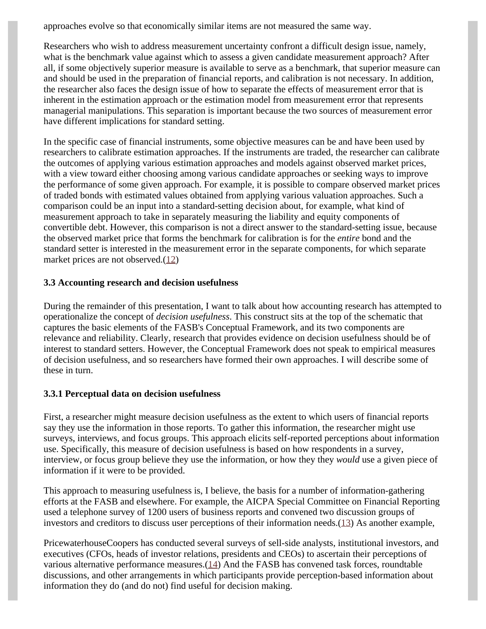approaches evolve so that economically similar items are not measured the same way.

Researchers who wish to address measurement uncertainty confront a difficult design issue, namely, what is the benchmark value against which to assess a given candidate measurement approach? After all, if some objectively superior measure is available to serve as a benchmark, that superior measure can and should be used in the preparation of financial reports, and calibration is not necessary. In addition, the researcher also faces the design issue of how to separate the effects of measurement error that is inherent in the estimation approach or the estimation model from measurement error that represents managerial manipulations. This separation is important because the two sources of measurement error have different implications for standard setting.

In the specific case of financial instruments, some objective measures can be and have been used by researchers to calibrate estimation approaches. If the instruments are traded, the researcher can calibrate the outcomes of applying various estimation approaches and models against observed market prices, with a view toward either choosing among various candidate approaches or seeking ways to improve the performance of some given approach. For example, it is possible to compare observed market prices of traded bonds with estimated values obtained from applying various valuation approaches. Such a comparison could be an input into a standard-setting decision about, for example, what kind of measurement approach to take in separately measuring the liability and equity components of convertible debt. However, this comparison is not a direct answer to the standard-setting issue, because the observed market price that forms the benchmark for calibration is for the *entire* bond and the standard setter is interested in the measurement error in the separate components, for which separate market prices are not observed.[\(12](#page-14-10))

## <span id="page-8-0"></span>**3.3 Accounting research and decision usefulness**

During the remainder of this presentation, I want to talk about how accounting research has attempted to operationalize the concept of *decision usefulness*. This construct sits at the top of the schematic that captures the basic elements of the FASB's Conceptual Framework, and its two components are relevance and reliability. Clearly, research that provides evidence on decision usefulness should be of interest to standard setters. However, the Conceptual Framework does not speak to empirical measures of decision usefulness, and so researchers have formed their own approaches. I will describe some of these in turn.

### **3.3.1 Perceptual data on decision usefulness**

First, a researcher might measure decision usefulness as the extent to which users of financial reports say they use the information in those reports. To gather this information, the researcher might use surveys, interviews, and focus groups. This approach elicits self-reported perceptions about information use. Specifically, this measure of decision usefulness is based on how respondents in a survey, interview, or focus group believe they use the information, or how they they *would* use a given piece of information if it were to be provided.

This approach to measuring usefulness is, I believe, the basis for a number of information-gathering efforts at the FASB and elsewhere. For example, the AICPA Special Committee on Financial Reporting used a telephone survey of 1200 users of business reports and convened two discussion groups of investors and creditors to discuss user perceptions of their information needs. $(13)$  $(13)$  As another example,

<span id="page-8-2"></span><span id="page-8-1"></span>PricewaterhouseCoopers has conducted several surveys of sell-side analysts, institutional investors, and executives (CFOs, heads of investor relations, presidents and CEOs) to ascertain their perceptions of various alternative performance measures. $(14)$  $(14)$  And the FASB has convened task forces, roundtable discussions, and other arrangements in which participants provide perception-based information about information they do (and do not) find useful for decision making.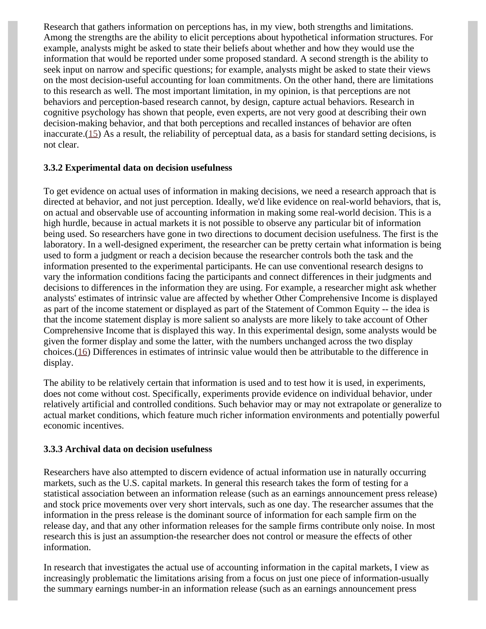Research that gathers information on perceptions has, in my view, both strengths and limitations. Among the strengths are the ability to elicit perceptions about hypothetical information structures. For example, analysts might be asked to state their beliefs about whether and how they would use the information that would be reported under some proposed standard. A second strength is the ability to seek input on narrow and specific questions; for example, analysts might be asked to state their views on the most decision-useful accounting for loan commitments. On the other hand, there are limitations to this research as well. The most important limitation, in my opinion, is that perceptions are not behaviors and perception-based research cannot, by design, capture actual behaviors. Research in cognitive psychology has shown that people, even experts, are not very good at describing their own decision-making behavior, and that both perceptions and recalled instances of behavior are often inaccurate. $(15)$  $(15)$  As a result, the reliability of perceptual data, as a basis for standard setting decisions, is not clear.

## <span id="page-9-0"></span>**3.3.2 Experimental data on decision usefulness**

To get evidence on actual uses of information in making decisions, we need a research approach that is directed at behavior, and not just perception. Ideally, we'd like evidence on real-world behaviors, that is, on actual and observable use of accounting information in making some real-world decision. This is a high hurdle, because in actual markets it is not possible to observe any particular bit of information being used. So researchers have gone in two directions to document decision usefulness. The first is the laboratory. In a well-designed experiment, the researcher can be pretty certain what information is being used to form a judgment or reach a decision because the researcher controls both the task and the information presented to the experimental participants. He can use conventional research designs to vary the information conditions facing the participants and connect differences in their judgments and decisions to differences in the information they are using. For example, a researcher might ask whether analysts' estimates of intrinsic value are affected by whether Other Comprehensive Income is displayed as part of the income statement or displayed as part of the Statement of Common Equity -- the idea is that the income statement display is more salient so analysts are more likely to take account of Other Comprehensive Income that is displayed this way. In this experimental design, some analysts would be given the former display and some the latter, with the numbers unchanged across the two display choices.([16\)](#page-15-3) Differences in estimates of intrinsic value would then be attributable to the difference in display.

<span id="page-9-1"></span>The ability to be relatively certain that information is used and to test how it is used, in experiments, does not come without cost. Specifically, experiments provide evidence on individual behavior, under relatively artificial and controlled conditions. Such behavior may or may not extrapolate or generalize to actual market conditions, which feature much richer information environments and potentially powerful economic incentives.

### **3.3.3 Archival data on decision usefulness**

Researchers have also attempted to discern evidence of actual information use in naturally occurring markets, such as the U.S. capital markets. In general this research takes the form of testing for a statistical association between an information release (such as an earnings announcement press release) and stock price movements over very short intervals, such as one day. The researcher assumes that the information in the press release is the dominant source of information for each sample firm on the release day, and that any other information releases for the sample firms contribute only noise. In most research this is just an assumption-the researcher does not control or measure the effects of other information.

In research that investigates the actual use of accounting information in the capital markets, I view as increasingly problematic the limitations arising from a focus on just one piece of information-usually the summary earnings number-in an information release (such as an earnings announcement press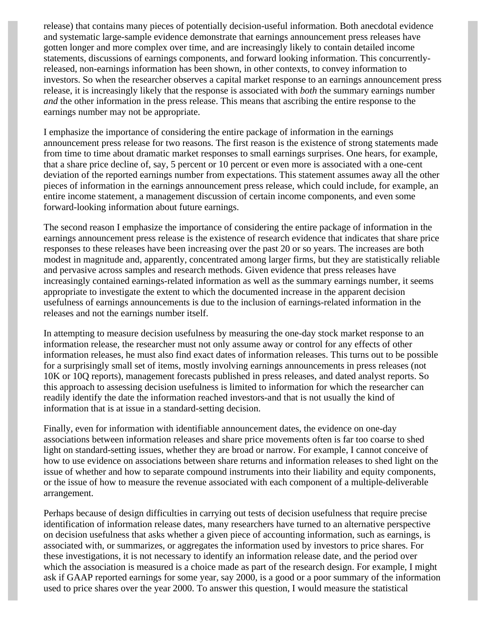release) that contains many pieces of potentially decision-useful information. Both anecdotal evidence and systematic large-sample evidence demonstrate that earnings announcement press releases have gotten longer and more complex over time, and are increasingly likely to contain detailed income statements, discussions of earnings components, and forward looking information. This concurrentlyreleased, non-earnings information has been shown, in other contexts, to convey information to investors. So when the researcher observes a capital market response to an earnings announcement press release, it is increasingly likely that the response is associated with *both* the summary earnings number *and* the other information in the press release. This means that ascribing the entire response to the earnings number may not be appropriate.

I emphasize the importance of considering the entire package of information in the earnings announcement press release for two reasons. The first reason is the existence of strong statements made from time to time about dramatic market responses to small earnings surprises. One hears, for example, that a share price decline of, say, 5 percent or 10 percent or even more is associated with a one-cent deviation of the reported earnings number from expectations. This statement assumes away all the other pieces of information in the earnings announcement press release, which could include, for example, an entire income statement, a management discussion of certain income components, and even some forward-looking information about future earnings.

The second reason I emphasize the importance of considering the entire package of information in the earnings announcement press release is the existence of research evidence that indicates that share price responses to these releases have been increasing over the past 20 or so years. The increases are both modest in magnitude and, apparently, concentrated among larger firms, but they are statistically reliable and pervasive across samples and research methods. Given evidence that press releases have increasingly contained earnings-related information as well as the summary earnings number, it seems appropriate to investigate the extent to which the documented increase in the apparent decision usefulness of earnings announcements is due to the inclusion of earnings-related information in the releases and not the earnings number itself.

In attempting to measure decision usefulness by measuring the one-day stock market response to an information release, the researcher must not only assume away or control for any effects of other information releases, he must also find exact dates of information releases. This turns out to be possible for a surprisingly small set of items, mostly involving earnings announcements in press releases (not 10K or 10Q reports), management forecasts published in press releases, and dated analyst reports. So this approach to assessing decision usefulness is limited to information for which the researcher can readily identify the date the information reached investors-and that is not usually the kind of information that is at issue in a standard-setting decision.

Finally, even for information with identifiable announcement dates, the evidence on one-day associations between information releases and share price movements often is far too coarse to shed light on standard-setting issues, whether they are broad or narrow. For example, I cannot conceive of how to use evidence on associations between share returns and information releases to shed light on the issue of whether and how to separate compound instruments into their liability and equity components, or the issue of how to measure the revenue associated with each component of a multiple-deliverable arrangement.

Perhaps because of design difficulties in carrying out tests of decision usefulness that require precise identification of information release dates, many researchers have turned to an alternative perspective on decision usefulness that asks whether a given piece of accounting information, such as earnings, is associated with, or summarizes, or aggregates the information used by investors to price shares. For these investigations, it is not necessary to identify an information release date, and the period over which the association is measured is a choice made as part of the research design. For example, I might ask if GAAP reported earnings for some year, say 2000, is a good or a poor summary of the information used to price shares over the year 2000. To answer this question, I would measure the statistical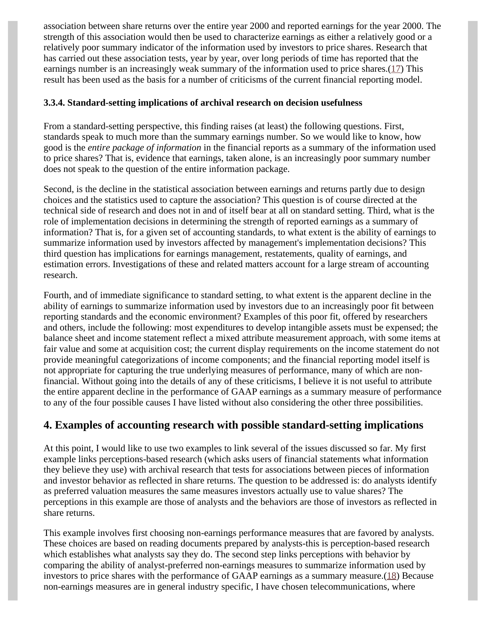association between share returns over the entire year 2000 and reported earnings for the year 2000. The strength of this association would then be used to characterize earnings as either a relatively good or a relatively poor summary indicator of the information used by investors to price shares. Research that has carried out these association tests, year by year, over long periods of time has reported that the earnings number is an increasingly weak summary of the information used to price shares. $(17)$  $(17)$  This result has been used as the basis for a number of criticisms of the current financial reporting model.

## <span id="page-11-0"></span>**3.3.4. Standard-setting implications of archival research on decision usefulness**

From a standard-setting perspective, this finding raises (at least) the following questions. First, standards speak to much more than the summary earnings number. So we would like to know, how good is the *entire package of information* in the financial reports as a summary of the information used to price shares? That is, evidence that earnings, taken alone, is an increasingly poor summary number does not speak to the question of the entire information package.

Second, is the decline in the statistical association between earnings and returns partly due to design choices and the statistics used to capture the association? This question is of course directed at the technical side of research and does not in and of itself bear at all on standard setting. Third, what is the role of implementation decisions in determining the strength of reported earnings as a summary of information? That is, for a given set of accounting standards, to what extent is the ability of earnings to summarize information used by investors affected by management's implementation decisions? This third question has implications for earnings management, restatements, quality of earnings, and estimation errors. Investigations of these and related matters account for a large stream of accounting research.

Fourth, and of immediate significance to standard setting, to what extent is the apparent decline in the ability of earnings to summarize information used by investors due to an increasingly poor fit between reporting standards and the economic environment? Examples of this poor fit, offered by researchers and others, include the following: most expenditures to develop intangible assets must be expensed; the balance sheet and income statement reflect a mixed attribute measurement approach, with some items at fair value and some at acquisition cost; the current display requirements on the income statement do not provide meaningful categorizations of income components; and the financial reporting model itself is not appropriate for capturing the true underlying measures of performance, many of which are nonfinancial. Without going into the details of any of these criticisms, I believe it is not useful to attribute the entire apparent decline in the performance of GAAP earnings as a summary measure of performance to any of the four possible causes I have listed without also considering the other three possibilities.

# **4. Examples of accounting research with possible standard-setting implications**

At this point, I would like to use two examples to link several of the issues discussed so far. My first example links perceptions-based research (which asks users of financial statements what information they believe they use) with archival research that tests for associations between pieces of information and investor behavior as reflected in share returns. The question to be addressed is: do analysts identify as preferred valuation measures the same measures investors actually use to value shares? The perceptions in this example are those of analysts and the behaviors are those of investors as reflected in share returns.

<span id="page-11-1"></span>This example involves first choosing non-earnings performance measures that are favored by analysts. These choices are based on reading documents prepared by analysts-this is perception-based research which establishes what analysts say they do. The second step links perceptions with behavior by comparing the ability of analyst-preferred non-earnings measures to summarize information used by investors to price shares with the performance of GAAP earnings as a summary measure. $(18)$  $(18)$  Because non-earnings measures are in general industry specific, I have chosen telecommunications, where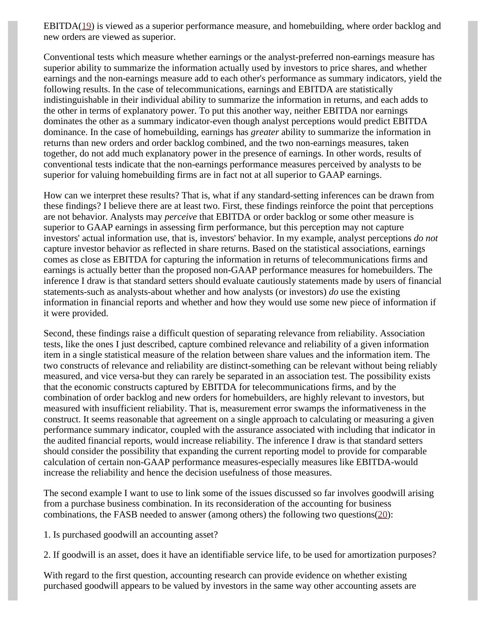<span id="page-12-0"></span>EBITDA $(19)$  $(19)$  is viewed as a superior performance measure, and homebuilding, where order backlog and new orders are viewed as superior.

Conventional tests which measure whether earnings or the analyst-preferred non-earnings measure has superior ability to summarize the information actually used by investors to price shares, and whether earnings and the non-earnings measure add to each other's performance as summary indicators, yield the following results. In the case of telecommunications, earnings and EBITDA are statistically indistinguishable in their individual ability to summarize the information in returns, and each adds to the other in terms of explanatory power. To put this another way, neither EBITDA nor earnings dominates the other as a summary indicator-even though analyst perceptions would predict EBITDA dominance. In the case of homebuilding, earnings has *greater* ability to summarize the information in returns than new orders and order backlog combined, and the two non-earnings measures, taken together, do not add much explanatory power in the presence of earnings. In other words, results of conventional tests indicate that the non-earnings performance measures perceived by analysts to be superior for valuing homebuilding firms are in fact not at all superior to GAAP earnings.

How can we interpret these results? That is, what if any standard-setting inferences can be drawn from these findings? I believe there are at least two. First, these findings reinforce the point that perceptions are not behavior. Analysts may *perceive* that EBITDA or order backlog or some other measure is superior to GAAP earnings in assessing firm performance, but this perception may not capture investors' actual information use, that is, investors' behavior. In my example, analyst perceptions *do not* capture investor behavior as reflected in share returns. Based on the statistical associations, earnings comes as close as EBITDA for capturing the information in returns of telecommunications firms and earnings is actually better than the proposed non-GAAP performance measures for homebuilders. The inference I draw is that standard setters should evaluate cautiously statements made by users of financial statements-such as analysts-about whether and how analysts (or investors) *do* use the existing information in financial reports and whether and how they would use some new piece of information if it were provided.

Second, these findings raise a difficult question of separating relevance from reliability. Association tests, like the ones I just described, capture combined relevance and reliability of a given information item in a single statistical measure of the relation between share values and the information item. The two constructs of relevance and reliability are distinct-something can be relevant without being reliably measured, and vice versa-but they can rarely be separated in an association test. The possibility exists that the economic constructs captured by EBITDA for telecommunications firms, and by the combination of order backlog and new orders for homebuilders, are highly relevant to investors, but measured with insufficient reliability. That is, measurement error swamps the informativeness in the construct. It seems reasonable that agreement on a single approach to calculating or measuring a given performance summary indicator, coupled with the assurance associated with including that indicator in the audited financial reports, would increase reliability. The inference I draw is that standard setters should consider the possibility that expanding the current reporting model to provide for comparable calculation of certain non-GAAP performance measures-especially measures like EBITDA-would increase the reliability and hence the decision usefulness of those measures.

The second example I want to use to link some of the issues discussed so far involves goodwill arising from a purchase business combination. In its reconsideration of the accounting for business combinations, the FASB needed to answer (among others) the following two questions $(20)$  $(20)$ :

<span id="page-12-1"></span>1. Is purchased goodwill an accounting asset?

2. If goodwill is an asset, does it have an identifiable service life, to be used for amortization purposes?

With regard to the first question, accounting research can provide evidence on whether existing purchased goodwill appears to be valued by investors in the same way other accounting assets are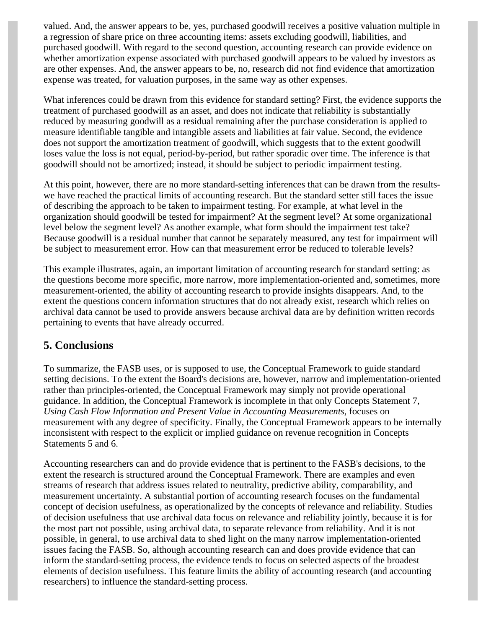valued. And, the answer appears to be, yes, purchased goodwill receives a positive valuation multiple in a regression of share price on three accounting items: assets excluding goodwill, liabilities, and purchased goodwill. With regard to the second question, accounting research can provide evidence on whether amortization expense associated with purchased goodwill appears to be valued by investors as are other expenses. And, the answer appears to be, no, research did not find evidence that amortization expense was treated, for valuation purposes, in the same way as other expenses.

What inferences could be drawn from this evidence for standard setting? First, the evidence supports the treatment of purchased goodwill as an asset, and does not indicate that reliability is substantially reduced by measuring goodwill as a residual remaining after the purchase consideration is applied to measure identifiable tangible and intangible assets and liabilities at fair value. Second, the evidence does not support the amortization treatment of goodwill, which suggests that to the extent goodwill loses value the loss is not equal, period-by-period, but rather sporadic over time. The inference is that goodwill should not be amortized; instead, it should be subject to periodic impairment testing.

At this point, however, there are no more standard-setting inferences that can be drawn from the resultswe have reached the practical limits of accounting research. But the standard setter still faces the issue of describing the approach to be taken to impairment testing. For example, at what level in the organization should goodwill be tested for impairment? At the segment level? At some organizational level below the segment level? As another example, what form should the impairment test take? Because goodwill is a residual number that cannot be separately measured, any test for impairment will be subject to measurement error. How can that measurement error be reduced to tolerable levels?

This example illustrates, again, an important limitation of accounting research for standard setting: as the questions become more specific, more narrow, more implementation-oriented and, sometimes, more measurement-oriented, the ability of accounting research to provide insights disappears. And, to the extent the questions concern information structures that do not already exist, research which relies on archival data cannot be used to provide answers because archival data are by definition written records pertaining to events that have already occurred.

## **5. Conclusions**

To summarize, the FASB uses, or is supposed to use, the Conceptual Framework to guide standard setting decisions. To the extent the Board's decisions are, however, narrow and implementation-oriented rather than principles-oriented, the Conceptual Framework may simply not provide operational guidance. In addition, the Conceptual Framework is incomplete in that only Concepts Statement 7, *Using Cash Flow Information and Present Value in Accounting Measurements*, focuses on measurement with any degree of specificity. Finally, the Conceptual Framework appears to be internally inconsistent with respect to the explicit or implied guidance on revenue recognition in Concepts Statements 5 and 6.

Accounting researchers can and do provide evidence that is pertinent to the FASB's decisions, to the extent the research is structured around the Conceptual Framework. There are examples and even streams of research that address issues related to neutrality, predictive ability, comparability, and measurement uncertainty. A substantial portion of accounting research focuses on the fundamental concept of decision usefulness, as operationalized by the concepts of relevance and reliability. Studies of decision usefulness that use archival data focus on relevance and reliability jointly, because it is for the most part not possible, using archival data, to separate relevance from reliability. And it is not possible, in general, to use archival data to shed light on the many narrow implementation-oriented issues facing the FASB. So, although accounting research can and does provide evidence that can inform the standard-setting process, the evidence tends to focus on selected aspects of the broadest elements of decision usefulness. This feature limits the ability of accounting research (and accounting researchers) to influence the standard-setting process.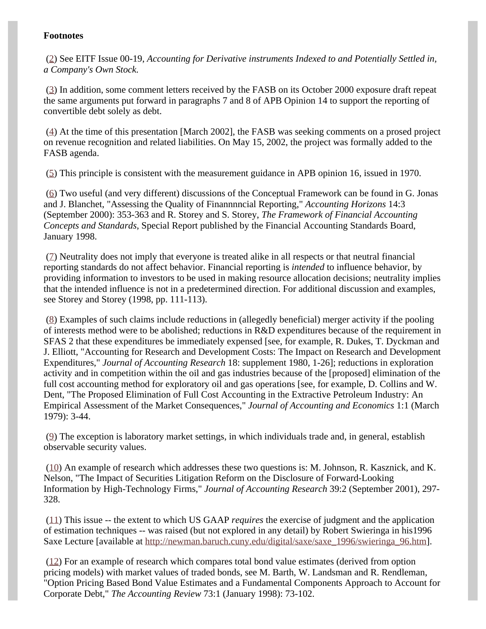## **Footnotes**

<span id="page-14-0"></span>([2\)](#page-4-0) See EITF Issue 00-19, *Accounting for Derivative instruments Indexed to and Potentially Settled in, a Company's Own Stock.*

<span id="page-14-1"></span>([3\)](#page-4-1) In addition, some comment letters received by the FASB on its October 2000 exposure draft repeat the same arguments put forward in paragraphs 7 and 8 of APB Opinion 14 to support the reporting of convertible debt solely as debt.

<span id="page-14-2"></span>([4\)](#page-5-0) At the time of this presentation [March 2002], the FASB was seeking comments on a prosed project on revenue recognition and related liabilities. On May 15, 2002, the project was formally added to the FASB agenda.

<span id="page-14-3"></span>([5\)](#page-5-1) This principle is consistent with the measurement guidance in APB opinion 16, issued in 1970.

<span id="page-14-4"></span>([6\)](#page-6-0) Two useful (and very different) discussions of the Conceptual Framework can be found in G. Jonas and J. Blanchet, "Assessing the Quality of Finannnncial Reporting," *Accounting Horizons* 14:3 (September 2000): 353-363 and R. Storey and S. Storey, *The Framework of Financial Accounting Concepts and Standards*, Special Report published by the Financial Accounting Standards Board, January 1998.

<span id="page-14-5"></span>([7\)](#page-6-1) Neutrality does not imply that everyone is treated alike in all respects or that neutral financial reporting standards do not affect behavior. Financial reporting is *intended* to influence behavior, by providing information to investors to be used in making resource allocation decisions; neutrality implies that the intended influence is not in a predetermined direction. For additional discussion and examples, see Storey and Storey (1998, pp. 111-113).

<span id="page-14-6"></span>([8\)](#page-6-2) Examples of such claims include reductions in (allegedly beneficial) merger activity if the pooling of interests method were to be abolished; reductions in R&D expenditures because of the requirement in SFAS 2 that these expenditures be immediately expensed [see, for example, R. Dukes, T. Dyckman and J. Elliott, "Accounting for Research and Development Costs: The Impact on Research and Development Expenditures," *Journal of Accounting Research* 18: supplement 1980, 1-26]; reductions in exploration activity and in competition within the oil and gas industries because of the [proposed] elimination of the full cost accounting method for exploratory oil and gas operations [see, for example, D. Collins and W. Dent, "The Proposed Elimination of Full Cost Accounting in the Extractive Petroleum Industry: An Empirical Assessment of the Market Consequences," *Journal of Accounting and Economics* 1:1 (March 1979): 3-44.

<span id="page-14-7"></span>([9\)](#page-7-0) The exception is laboratory market settings, in which individuals trade and, in general, establish observable security values.

<span id="page-14-8"></span>([10\)](#page-7-1) An example of research which addresses these two questions is: M. Johnson, R. Kasznick, and K. Nelson, "The Impact of Securities Litigation Reform on the Disclosure of Forward-Looking Information by High-Technology Firms," *Journal of Accounting Research* 39:2 (September 2001), 297- 328.

<span id="page-14-9"></span>([11\)](#page-7-2) This issue -- the extent to which US GAAP *requires* the exercise of judgment and the application of estimation techniques -- was raised (but not explored in any detail) by Robert Swieringa in his1996 Saxe Lecture [available at [http://newman.baruch.cuny.edu/digital/saxe/saxe\\_1996/swieringa\\_96.htm](http://newman.baruch.cuny.edu/digital/saxe/saxe_1996/swieringa_96.htm)].

<span id="page-14-10"></span>[\(12\)](#page-8-0) For an example of research which compares total bond value estimates (derived from option pricing models) with market values of traded bonds, see M. Barth, W. Landsman and R. Rendleman, "Option Pricing Based Bond Value Estimates and a Fundamental Components Approach to Account for Corporate Debt," *The Accounting Review* 73:1 (January 1998): 73-102.